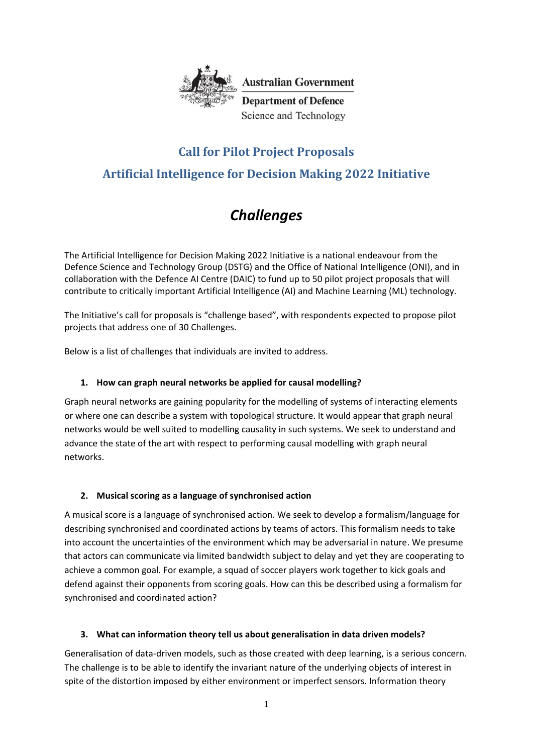

**Australian Government Department of Defence** 

Science and Technology

# **Call for Pilot Project Proposals Artificial Intelligence for Decision Making 2022 Initiative**

# *Challenges*

The Artificial Intelligence for Decision Making 2022 Initiative is a national endeavour from the Defence Science and Technology Group (DSTG) and the Office of National Intelligence (ONI), and in collaboration with the Defence AI Centre (DAIC) to fund up to 50 pilot project proposals that will contribute to critically important Artificial Intelligence (AI) and Machine Learning (ML) technology.

The Initiative's call for proposals is "challenge based", with respondents expected to propose pilot projects that address one of 30 Challenges.

Below is a list of challenges that individuals are invited to address.

# **1. How can graph neural networks be applied for causal modelling?**

Graph neural networks are gaining popularity for the modelling of systems of interacting elements or where one can describe a system with topological structure. It would appear that graph neural networks would be well suited to modelling causality in such systems. We seek to understand and advance the state of the art with respect to performing causal modelling with graph neural networks.

# **2. Musical scoring as a language of synchronised action**

A musical score is a language of synchronised action. We seek to develop a formalism/language for describing synchronised and coordinated actions by teams of actors. This formalism needs to take into account the uncertainties of the environment which may be adversarial in nature. We presume that actors can communicate via limited bandwidth subject to delay and yet they are cooperating to achieve a common goal. For example, a squad of soccer players work together to kick goals and defend against their opponents from scoring goals. How can this be described using a formalism for synchronised and coordinated action?

## **3. What can information theory tell us about generalisation in data driven models?**

Generalisation of data-driven models, such as those created with deep learning, is a serious concern. The challenge is to be able to identify the invariant nature of the underlying objects of interest in spite of the distortion imposed by either environment or imperfect sensors. Information theory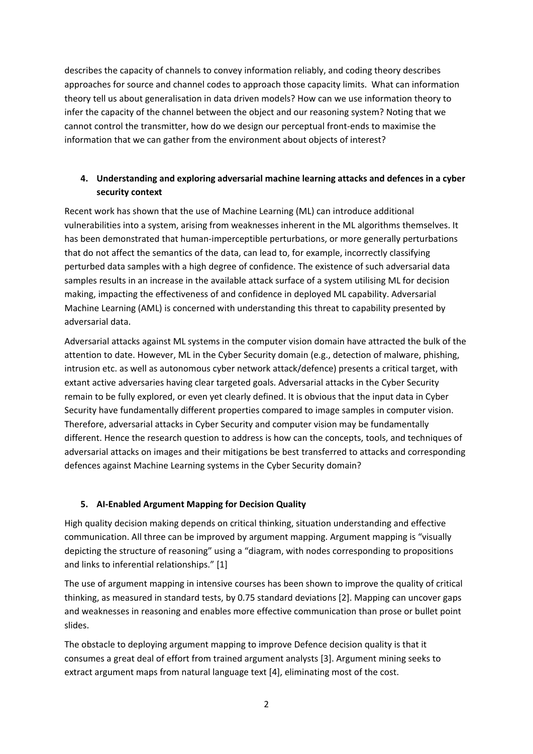describes the capacity of channels to convey information reliably, and coding theory describes approaches for source and channel codes to approach those capacity limits. What can information theory tell us about generalisation in data driven models? How can we use information theory to infer the capacity of the channel between the object and our reasoning system? Noting that we cannot control the transmitter, how do we design our perceptual front-ends to maximise the information that we can gather from the environment about objects of interest?

# **4. Understanding and exploring adversarial machine learning attacks and defences in a cyber security context**

Recent work has shown that the use of Machine Learning (ML) can introduce additional vulnerabilities into a system, arising from weaknesses inherent in the ML algorithms themselves. It has been demonstrated that human-imperceptible perturbations, or more generally perturbations that do not affect the semantics of the data, can lead to, for example, incorrectly classifying perturbed data samples with a high degree of confidence. The existence of such adversarial data samples results in an increase in the available attack surface of a system utilising ML for decision making, impacting the effectiveness of and confidence in deployed ML capability. Adversarial Machine Learning (AML) is concerned with understanding this threat to capability presented by adversarial data.

Adversarial attacks against ML systems in the computer vision domain have attracted the bulk of the attention to date. However, ML in the Cyber Security domain (e.g., detection of malware, phishing, intrusion etc. as well as autonomous cyber network attack/defence) presents a critical target, with extant active adversaries having clear targeted goals. Adversarial attacks in the Cyber Security remain to be fully explored, or even yet clearly defined. It is obvious that the input data in Cyber Security have fundamentally different properties compared to image samples in computer vision. Therefore, adversarial attacks in Cyber Security and computer vision may be fundamentally different. Hence the research question to address is how can the concepts, tools, and techniques of adversarial attacks on images and their mitigations be best transferred to attacks and corresponding defences against Machine Learning systems in the Cyber Security domain?

## **5. AI-Enabled Argument Mapping for Decision Quality**

High quality decision making depends on critical thinking, situation understanding and effective communication. All three can be improved by argument mapping. Argument mapping is "visually depicting the structure of reasoning" using a "diagram, with nodes corresponding to propositions and links to inferential relationships." [1]

The use of argument mapping in intensive courses has been shown to improve the quality of critical thinking, as measured in standard tests, by 0.75 standard deviations [2]. Mapping can uncover gaps and weaknesses in reasoning and enables more effective communication than prose or bullet point slides.

The obstacle to deploying argument mapping to improve Defence decision quality is that it consumes a great deal of effort from trained argument analysts [3]. Argument mining seeks to extract argument maps from natural language text [4], eliminating most of the cost.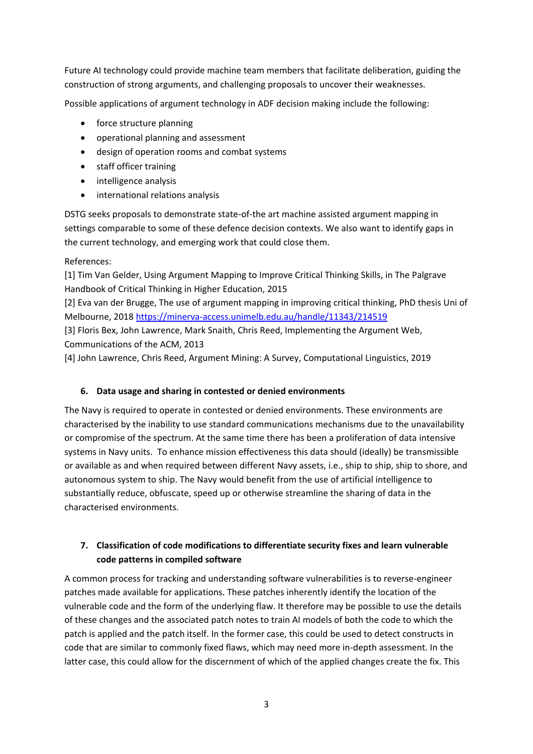Future AI technology could provide machine team members that facilitate deliberation, guiding the construction of strong arguments, and challenging proposals to uncover their weaknesses.

Possible applications of argument technology in ADF decision making include the following:

- force structure planning
- operational planning and assessment
- design of operation rooms and combat systems
- staff officer training
- intelligence analysis
- international relations analysis

DSTG seeks proposals to demonstrate state-of-the art machine assisted argument mapping in settings comparable to some of these defence decision contexts. We also want to identify gaps in the current technology, and emerging work that could close them.

References:

[1] Tim Van Gelder, Using Argument Mapping to Improve Critical Thinking Skills, in The Palgrave Handbook of Critical Thinking in Higher Education, 2015

[2] Eva van der Brugge, The use of argument mapping in improving critical thinking, PhD thesis Uni of Melbourne, 2018<https://minerva-access.unimelb.edu.au/handle/11343/214519>

[3] Floris Bex, John Lawrence, Mark Snaith, Chris Reed, Implementing the Argument Web, Communications of the ACM, 2013

[4] John Lawrence, Chris Reed, Argument Mining: A Survey, Computational Linguistics, 2019

## **6. Data usage and sharing in contested or denied environments**

The Navy is required to operate in contested or denied environments. These environments are characterised by the inability to use standard communications mechanisms due to the unavailability or compromise of the spectrum. At the same time there has been a proliferation of data intensive systems in Navy units. To enhance mission effectiveness this data should (ideally) be transmissible or available as and when required between different Navy assets, i.e., ship to ship, ship to shore, and autonomous system to ship. The Navy would benefit from the use of artificial intelligence to substantially reduce, obfuscate, speed up or otherwise streamline the sharing of data in the characterised environments.

# **7. Classification of code modifications to differentiate security fixes and learn vulnerable code patterns in compiled software**

A common process for tracking and understanding software vulnerabilities is to reverse-engineer patches made available for applications. These patches inherently identify the location of the vulnerable code and the form of the underlying flaw. It therefore may be possible to use the details of these changes and the associated patch notes to train AI models of both the code to which the patch is applied and the patch itself. In the former case, this could be used to detect constructs in code that are similar to commonly fixed flaws, which may need more in-depth assessment. In the latter case, this could allow for the discernment of which of the applied changes create the fix. This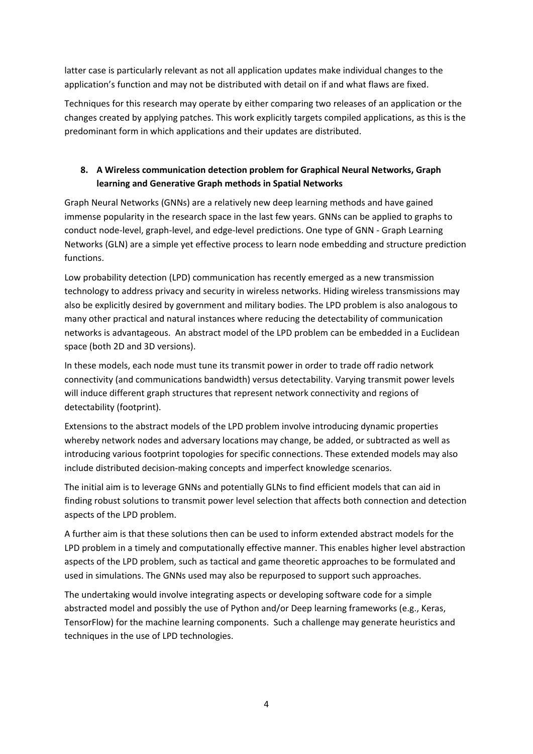latter case is particularly relevant as not all application updates make individual changes to the application's function and may not be distributed with detail on if and what flaws are fixed.

Techniques for this research may operate by either comparing two releases of an application or the changes created by applying patches. This work explicitly targets compiled applications, as this is the predominant form in which applications and their updates are distributed.

# **8. A Wireless communication detection problem for Graphical Neural Networks, Graph learning and Generative Graph methods in Spatial Networks**

Graph Neural Networks (GNNs) are a relatively new deep learning methods and have gained immense popularity in the research space in the last few years. GNNs can be applied to graphs to conduct node-level, graph-level, and edge-level predictions. One type of GNN - Graph Learning Networks (GLN) are a simple yet effective process to learn node embedding and structure prediction functions.

Low probability detection (LPD) communication has recently emerged as a new transmission technology to address privacy and security in wireless networks. Hiding wireless transmissions may also be explicitly desired by government and military bodies. The LPD problem is also analogous to many other practical and natural instances where reducing the detectability of communication networks is advantageous. An abstract model of the LPD problem can be embedded in a Euclidean space (both 2D and 3D versions).

In these models, each node must tune its transmit power in order to trade off radio network connectivity (and communications bandwidth) versus detectability. Varying transmit power levels will induce different graph structures that represent network connectivity and regions of detectability (footprint).

Extensions to the abstract models of the LPD problem involve introducing dynamic properties whereby network nodes and adversary locations may change, be added, or subtracted as well as introducing various footprint topologies for specific connections. These extended models may also include distributed decision-making concepts and imperfect knowledge scenarios.

The initial aim is to leverage GNNs and potentially GLNs to find efficient models that can aid in finding robust solutions to transmit power level selection that affects both connection and detection aspects of the LPD problem.

A further aim is that these solutions then can be used to inform extended abstract models for the LPD problem in a timely and computationally effective manner. This enables higher level abstraction aspects of the LPD problem, such as tactical and game theoretic approaches to be formulated and used in simulations. The GNNs used may also be repurposed to support such approaches.

The undertaking would involve integrating aspects or developing software code for a simple abstracted model and possibly the use of Python and/or Deep learning frameworks (e.g., Keras, TensorFlow) for the machine learning components. Such a challenge may generate heuristics and techniques in the use of LPD technologies.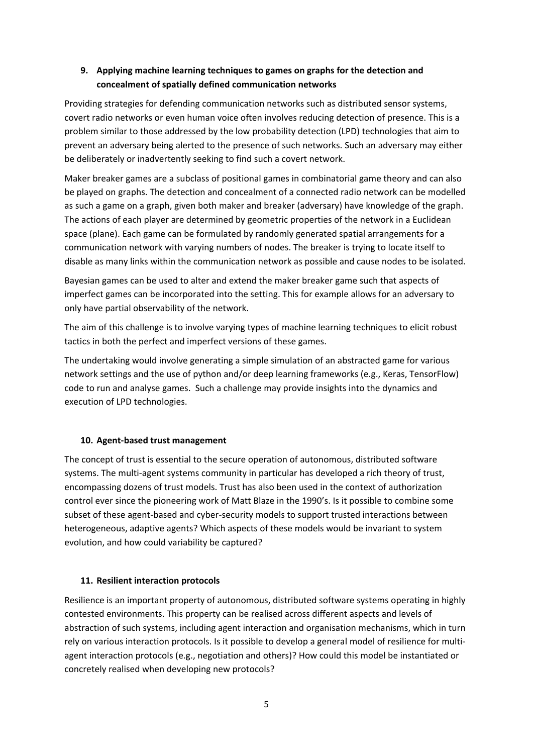# **9. Applying machine learning techniques to games on graphs for the detection and concealment of spatially defined communication networks**

Providing strategies for defending communication networks such as distributed sensor systems, covert radio networks or even human voice often involves reducing detection of presence. This is a problem similar to those addressed by the low probability detection (LPD) technologies that aim to prevent an adversary being alerted to the presence of such networks. Such an adversary may either be deliberately or inadvertently seeking to find such a covert network.

Maker breaker games are a subclass of positional games in combinatorial game theory and can also be played on graphs. The detection and concealment of a connected radio network can be modelled as such a game on a graph, given both maker and breaker (adversary) have knowledge of the graph. The actions of each player are determined by geometric properties of the network in a Euclidean space (plane). Each game can be formulated by randomly generated spatial arrangements for a communication network with varying numbers of nodes. The breaker is trying to locate itself to disable as many links within the communication network as possible and cause nodes to be isolated.

Bayesian games can be used to alter and extend the maker breaker game such that aspects of imperfect games can be incorporated into the setting. This for example allows for an adversary to only have partial observability of the network.

The aim of this challenge is to involve varying types of machine learning techniques to elicit robust tactics in both the perfect and imperfect versions of these games.

The undertaking would involve generating a simple simulation of an abstracted game for various network settings and the use of python and/or deep learning frameworks (e.g., Keras, TensorFlow) code to run and analyse games. Such a challenge may provide insights into the dynamics and execution of LPD technologies.

## **10. Agent-based trust management**

The concept of trust is essential to the secure operation of autonomous, distributed software systems. The multi-agent systems community in particular has developed a rich theory of trust, encompassing dozens of trust models. Trust has also been used in the context of authorization control ever since the pioneering work of Matt Blaze in the 1990's. Is it possible to combine some subset of these agent-based and cyber-security models to support trusted interactions between heterogeneous, adaptive agents? Which aspects of these models would be invariant to system evolution, and how could variability be captured?

## **11. Resilient interaction protocols**

Resilience is an important property of autonomous, distributed software systems operating in highly contested environments. This property can be realised across different aspects and levels of abstraction of such systems, including agent interaction and organisation mechanisms, which in turn rely on various interaction protocols. Is it possible to develop a general model of resilience for multiagent interaction protocols (e.g., negotiation and others)? How could this model be instantiated or concretely realised when developing new protocols?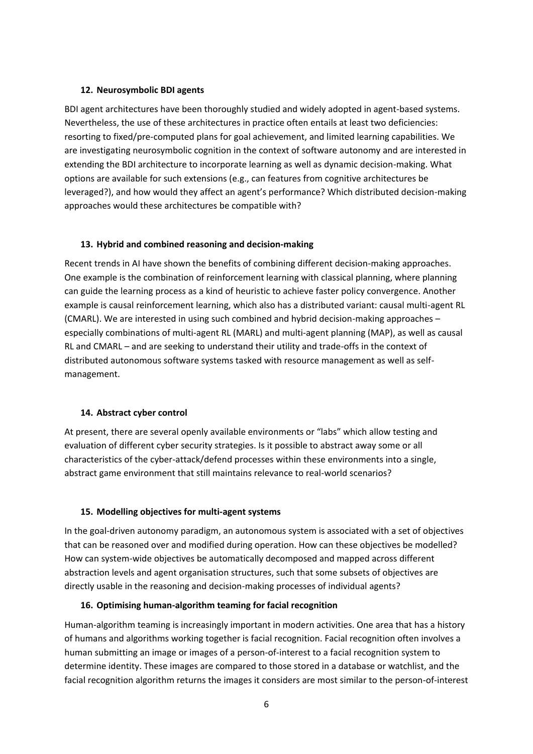#### **12. Neurosymbolic BDI agents**

BDI agent architectures have been thoroughly studied and widely adopted in agent-based systems. Nevertheless, the use of these architectures in practice often entails at least two deficiencies: resorting to fixed/pre-computed plans for goal achievement, and limited learning capabilities. We are investigating neurosymbolic cognition in the context of software autonomy and are interested in extending the BDI architecture to incorporate learning as well as dynamic decision-making. What options are available for such extensions (e.g., can features from cognitive architectures be leveraged?), and how would they affect an agent's performance? Which distributed decision-making approaches would these architectures be compatible with?

#### **13. Hybrid and combined reasoning and decision-making**

Recent trends in AI have shown the benefits of combining different decision-making approaches. One example is the combination of reinforcement learning with classical planning, where planning can guide the learning process as a kind of heuristic to achieve faster policy convergence. Another example is causal reinforcement learning, which also has a distributed variant: causal multi-agent RL (CMARL). We are interested in using such combined and hybrid decision-making approaches – especially combinations of multi-agent RL (MARL) and multi-agent planning (MAP), as well as causal RL and CMARL – and are seeking to understand their utility and trade-offs in the context of distributed autonomous software systems tasked with resource management as well as selfmanagement.

#### **14. Abstract cyber control**

At present, there are several openly available environments or "labs" which allow testing and evaluation of different cyber security strategies. Is it possible to abstract away some or all characteristics of the cyber-attack/defend processes within these environments into a single, abstract game environment that still maintains relevance to real-world scenarios?

#### **15. Modelling objectives for multi-agent systems**

In the goal-driven autonomy paradigm, an autonomous system is associated with a set of objectives that can be reasoned over and modified during operation. How can these objectives be modelled? How can system-wide objectives be automatically decomposed and mapped across different abstraction levels and agent organisation structures, such that some subsets of objectives are directly usable in the reasoning and decision-making processes of individual agents?

#### **16. Optimising human-algorithm teaming for facial recognition**

Human-algorithm teaming is increasingly important in modern activities. One area that has a history of humans and algorithms working together is facial recognition. Facial recognition often involves a human submitting an image or images of a person-of-interest to a facial recognition system to determine identity. These images are compared to those stored in a database or watchlist, and the facial recognition algorithm returns the images it considers are most similar to the person-of-interest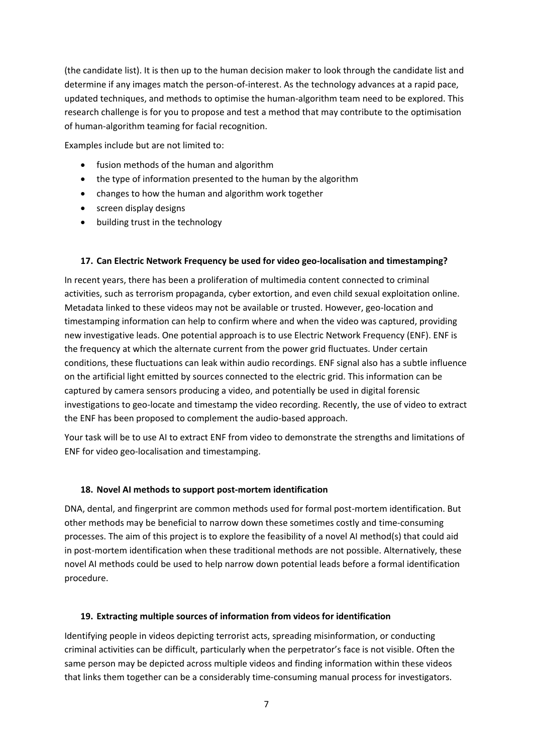(the candidate list). It is then up to the human decision maker to look through the candidate list and determine if any images match the person-of-interest. As the technology advances at a rapid pace, updated techniques, and methods to optimise the human-algorithm team need to be explored. This research challenge is for you to propose and test a method that may contribute to the optimisation of human-algorithm teaming for facial recognition.

Examples include but are not limited to:

- fusion methods of the human and algorithm
- the type of information presented to the human by the algorithm
- changes to how the human and algorithm work together
- screen display designs
- building trust in the technology

#### **17. Can Electric Network Frequency be used for video geo-localisation and timestamping?**

In recent years, there has been a proliferation of multimedia content connected to criminal activities, such as terrorism propaganda, cyber extortion, and even child sexual exploitation online. Metadata linked to these videos may not be available or trusted. However, geo-location and timestamping information can help to confirm where and when the video was captured, providing new investigative leads. One potential approach is to use Electric Network Frequency (ENF). ENF is the frequency at which the alternate current from the power grid fluctuates. Under certain conditions, these fluctuations can leak within audio recordings. ENF signal also has a subtle influence on the artificial light emitted by sources connected to the electric grid. This information can be captured by camera sensors producing a video, and potentially be used in digital forensic investigations to geo-locate and timestamp the video recording. Recently, the use of video to extract the ENF has been proposed to complement the audio-based approach.

Your task will be to use AI to extract ENF from video to demonstrate the strengths and limitations of ENF for video geo-localisation and timestamping.

#### **18. Novel AI methods to support post-mortem identification**

DNA, dental, and fingerprint are common methods used for formal post-mortem identification. But other methods may be beneficial to narrow down these sometimes costly and time-consuming processes. The aim of this project is to explore the feasibility of a novel AI method(s) that could aid in post-mortem identification when these traditional methods are not possible. Alternatively, these novel AI methods could be used to help narrow down potential leads before a formal identification procedure.

#### **19. Extracting multiple sources of information from videos for identification**

Identifying people in videos depicting terrorist acts, spreading misinformation, or conducting criminal activities can be difficult, particularly when the perpetrator's face is not visible. Often the same person may be depicted across multiple videos and finding information within these videos that links them together can be a considerably time-consuming manual process for investigators.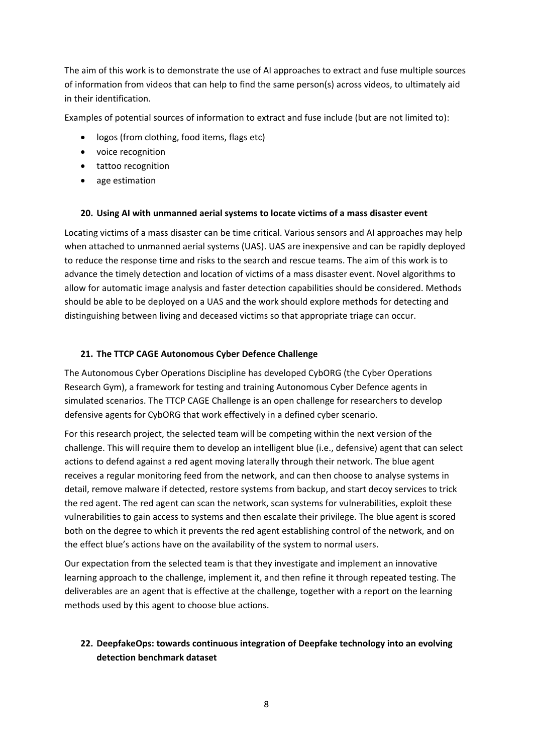The aim of this work is to demonstrate the use of AI approaches to extract and fuse multiple sources of information from videos that can help to find the same person(s) across videos, to ultimately aid in their identification.

Examples of potential sources of information to extract and fuse include (but are not limited to):

- logos (from clothing, food items, flags etc)
- voice recognition
- tattoo recognition
- age estimation

#### **20. Using AI with unmanned aerial systems to locate victims of a mass disaster event**

Locating victims of a mass disaster can be time critical. Various sensors and AI approaches may help when attached to unmanned aerial systems (UAS). UAS are inexpensive and can be rapidly deployed to reduce the response time and risks to the search and rescue teams. The aim of this work is to advance the timely detection and location of victims of a mass disaster event. Novel algorithms to allow for automatic image analysis and faster detection capabilities should be considered. Methods should be able to be deployed on a UAS and the work should explore methods for detecting and distinguishing between living and deceased victims so that appropriate triage can occur.

#### **21. The TTCP CAGE Autonomous Cyber Defence Challenge**

The Autonomous Cyber Operations Discipline has developed CybORG (the Cyber Operations Research Gym), a framework for testing and training Autonomous Cyber Defence agents in simulated scenarios. The TTCP CAGE Challenge is an open challenge for researchers to develop defensive agents for CybORG that work effectively in a defined cyber scenario.

For this research project, the selected team will be competing within the next version of the challenge. This will require them to develop an intelligent blue (i.e., defensive) agent that can select actions to defend against a red agent moving laterally through their network. The blue agent receives a regular monitoring feed from the network, and can then choose to analyse systems in detail, remove malware if detected, restore systems from backup, and start decoy services to trick the red agent. The red agent can scan the network, scan systems for vulnerabilities, exploit these vulnerabilities to gain access to systems and then escalate their privilege. The blue agent is scored both on the degree to which it prevents the red agent establishing control of the network, and on the effect blue's actions have on the availability of the system to normal users.

Our expectation from the selected team is that they investigate and implement an innovative learning approach to the challenge, implement it, and then refine it through repeated testing. The deliverables are an agent that is effective at the challenge, together with a report on the learning methods used by this agent to choose blue actions.

## **22. DeepfakeOps: towards continuous integration of Deepfake technology into an evolving detection benchmark dataset**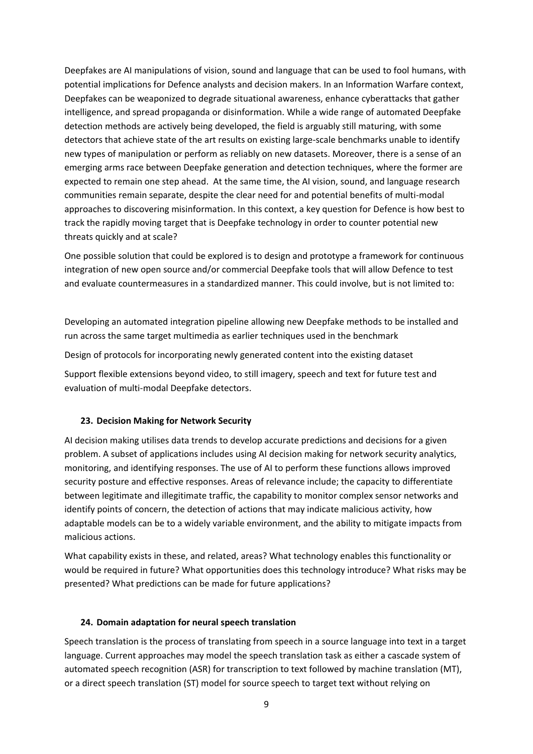Deepfakes are AI manipulations of vision, sound and language that can be used to fool humans, with potential implications for Defence analysts and decision makers. In an Information Warfare context, Deepfakes can be weaponized to degrade situational awareness, enhance cyberattacks that gather intelligence, and spread propaganda or disinformation. While a wide range of automated Deepfake detection methods are actively being developed, the field is arguably still maturing, with some detectors that achieve state of the art results on existing large-scale benchmarks unable to identify new types of manipulation or perform as reliably on new datasets. Moreover, there is a sense of an emerging arms race between Deepfake generation and detection techniques, where the former are expected to remain one step ahead. At the same time, the AI vision, sound, and language research communities remain separate, despite the clear need for and potential benefits of multi-modal approaches to discovering misinformation. In this context, a key question for Defence is how best to track the rapidly moving target that is Deepfake technology in order to counter potential new threats quickly and at scale?

One possible solution that could be explored is to design and prototype a framework for continuous integration of new open source and/or commercial Deepfake tools that will allow Defence to test and evaluate countermeasures in a standardized manner. This could involve, but is not limited to:

Developing an automated integration pipeline allowing new Deepfake methods to be installed and run across the same target multimedia as earlier techniques used in the benchmark

Design of protocols for incorporating newly generated content into the existing dataset

Support flexible extensions beyond video, to still imagery, speech and text for future test and evaluation of multi-modal Deepfake detectors.

#### **23. Decision Making for Network Security**

AI decision making utilises data trends to develop accurate predictions and decisions for a given problem. A subset of applications includes using AI decision making for network security analytics, monitoring, and identifying responses. The use of AI to perform these functions allows improved security posture and effective responses. Areas of relevance include; the capacity to differentiate between legitimate and illegitimate traffic, the capability to monitor complex sensor networks and identify points of concern, the detection of actions that may indicate malicious activity, how adaptable models can be to a widely variable environment, and the ability to mitigate impacts from malicious actions.

What capability exists in these, and related, areas? What technology enables this functionality or would be required in future? What opportunities does this technology introduce? What risks may be presented? What predictions can be made for future applications?

#### **24. Domain adaptation for neural speech translation**

Speech translation is the process of translating from speech in a source language into text in a target language. Current approaches may model the speech translation task as either a cascade system of automated speech recognition (ASR) for transcription to text followed by machine translation (MT), or a direct speech translation (ST) model for source speech to target text without relying on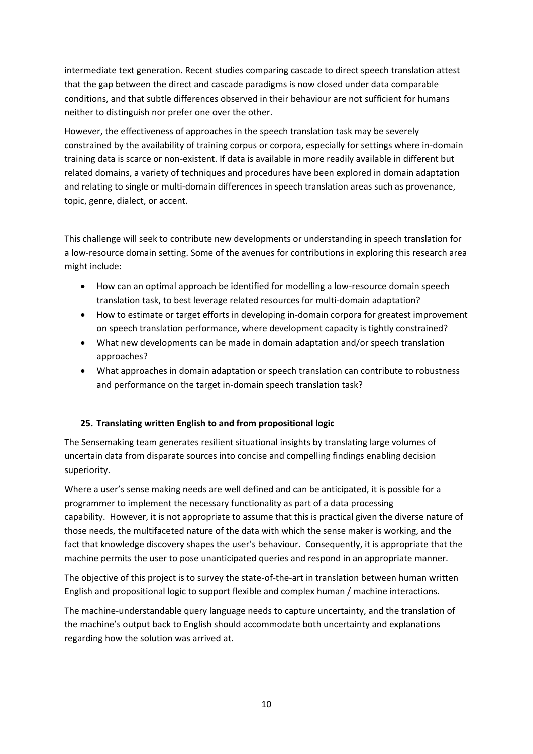intermediate text generation. Recent studies comparing cascade to direct speech translation attest that the gap between the direct and cascade paradigms is now closed under data comparable conditions, and that subtle differences observed in their behaviour are not sufficient for humans neither to distinguish nor prefer one over the other.

However, the effectiveness of approaches in the speech translation task may be severely constrained by the availability of training corpus or corpora, especially for settings where in-domain training data is scarce or non-existent. If data is available in more readily available in different but related domains, a variety of techniques and procedures have been explored in domain adaptation and relating to single or multi-domain differences in speech translation areas such as provenance, topic, genre, dialect, or accent.

This challenge will seek to contribute new developments or understanding in speech translation for a low-resource domain setting. Some of the avenues for contributions in exploring this research area might include:

- How can an optimal approach be identified for modelling a low-resource domain speech translation task, to best leverage related resources for multi-domain adaptation?
- How to estimate or target efforts in developing in-domain corpora for greatest improvement on speech translation performance, where development capacity is tightly constrained?
- What new developments can be made in domain adaptation and/or speech translation approaches?
- What approaches in domain adaptation or speech translation can contribute to robustness and performance on the target in-domain speech translation task?

## **25. Translating written English to and from propositional logic**

The Sensemaking team generates resilient situational insights by translating large volumes of uncertain data from disparate sources into concise and compelling findings enabling decision superiority.

Where a user's sense making needs are well defined and can be anticipated, it is possible for a programmer to implement the necessary functionality as part of a data processing capability. However, it is not appropriate to assume that this is practical given the diverse nature of those needs, the multifaceted nature of the data with which the sense maker is working, and the fact that knowledge discovery shapes the user's behaviour. Consequently, it is appropriate that the machine permits the user to pose unanticipated queries and respond in an appropriate manner.

The objective of this project is to survey the state-of-the-art in translation between human written English and propositional logic to support flexible and complex human / machine interactions.

The machine-understandable query language needs to capture uncertainty, and the translation of the machine's output back to English should accommodate both uncertainty and explanations regarding how the solution was arrived at.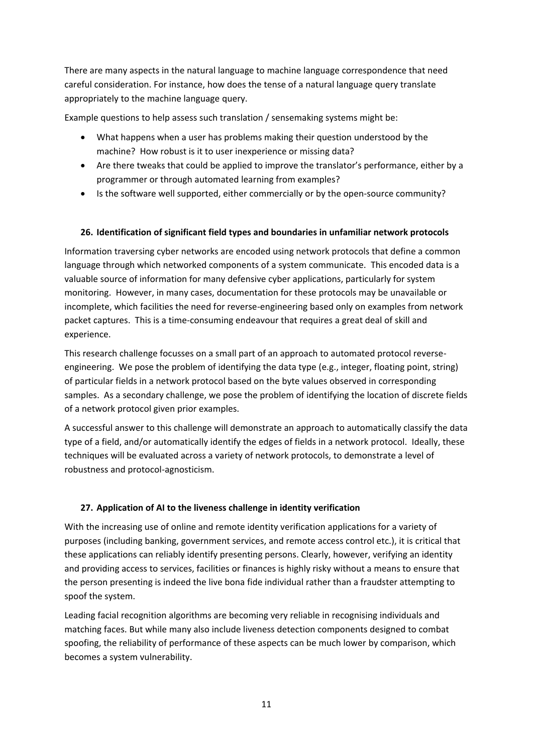There are many aspects in the natural language to machine language correspondence that need careful consideration. For instance, how does the tense of a natural language query translate appropriately to the machine language query.

Example questions to help assess such translation / sensemaking systems might be:

- What happens when a user has problems making their question understood by the machine? How robust is it to user inexperience or missing data?
- Are there tweaks that could be applied to improve the translator's performance, either by a programmer or through automated learning from examples?
- Is the software well supported, either commercially or by the open-source community?

## **26. Identification of significant field types and boundaries in unfamiliar network protocols**

Information traversing cyber networks are encoded using network protocols that define a common language through which networked components of a system communicate. This encoded data is a valuable source of information for many defensive cyber applications, particularly for system monitoring. However, in many cases, documentation for these protocols may be unavailable or incomplete, which facilities the need for reverse-engineering based only on examples from network packet captures. This is a time-consuming endeavour that requires a great deal of skill and experience.

This research challenge focusses on a small part of an approach to automated protocol reverseengineering. We pose the problem of identifying the data type (e.g., integer, floating point, string) of particular fields in a network protocol based on the byte values observed in corresponding samples. As a secondary challenge, we pose the problem of identifying the location of discrete fields of a network protocol given prior examples.

A successful answer to this challenge will demonstrate an approach to automatically classify the data type of a field, and/or automatically identify the edges of fields in a network protocol. Ideally, these techniques will be evaluated across a variety of network protocols, to demonstrate a level of robustness and protocol-agnosticism.

## **27. Application of AI to the liveness challenge in identity verification**

With the increasing use of online and remote identity verification applications for a variety of purposes (including banking, government services, and remote access control etc.), it is critical that these applications can reliably identify presenting persons. Clearly, however, verifying an identity and providing access to services, facilities or finances is highly risky without a means to ensure that the person presenting is indeed the live bona fide individual rather than a fraudster attempting to spoof the system.

Leading facial recognition algorithms are becoming very reliable in recognising individuals and matching faces. But while many also include liveness detection components designed to combat spoofing, the reliability of performance of these aspects can be much lower by comparison, which becomes a system vulnerability.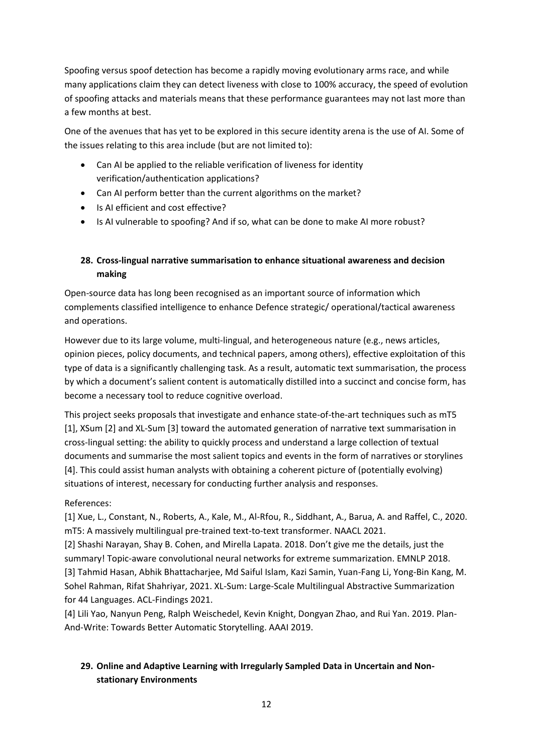Spoofing versus spoof detection has become a rapidly moving evolutionary arms race, and while many applications claim they can detect liveness with close to 100% accuracy, the speed of evolution of spoofing attacks and materials means that these performance guarantees may not last more than a few months at best.

One of the avenues that has yet to be explored in this secure identity arena is the use of AI. Some of the issues relating to this area include (but are not limited to):

- Can AI be applied to the reliable verification of liveness for identity verification/authentication applications?
- Can AI perform better than the current algorithms on the market?
- Is AI efficient and cost effective?
- Is AI vulnerable to spoofing? And if so, what can be done to make AI more robust?

# **28. Cross-lingual narrative summarisation to enhance situational awareness and decision making**

Open-source data has long been recognised as an important source of information which complements classified intelligence to enhance Defence strategic/ operational/tactical awareness and operations.

However due to its large volume, multi-lingual, and heterogeneous nature (e.g., news articles, opinion pieces, policy documents, and technical papers, among others), effective exploitation of this type of data is a significantly challenging task. As a result, automatic text summarisation, the process by which a document's salient content is automatically distilled into a succinct and concise form, has become a necessary tool to reduce cognitive overload.

This project seeks proposals that investigate and enhance state-of-the-art techniques such as mT5 [1], XSum [2] and XL-Sum [3] toward the automated generation of narrative text summarisation in cross-lingual setting: the ability to quickly process and understand a large collection of textual documents and summarise the most salient topics and events in the form of narratives or storylines [4]. This could assist human analysts with obtaining a coherent picture of (potentially evolving) situations of interest, necessary for conducting further analysis and responses.

## References:

[1] Xue, L., Constant, N., Roberts, A., Kale, M., Al-Rfou, R., Siddhant, A., Barua, A. and Raffel, C., 2020. mT5: A massively multilingual pre-trained text-to-text transformer. NAACL 2021.

[2] Shashi Narayan, Shay B. Cohen, and Mirella Lapata. 2018. Don't give me the details, just the summary! Topic-aware convolutional neural networks for extreme summarization. EMNLP 2018. [3] Tahmid Hasan, Abhik Bhattacharjee, Md Saiful Islam, Kazi Samin, Yuan-Fang Li, Yong-Bin Kang, M. Sohel Rahman, Rifat Shahriyar, 2021. XL-Sum: Large-Scale Multilingual Abstractive Summarization for 44 Languages. ACL-Findings 2021.

[4] Lili Yao, Nanyun Peng, Ralph Weischedel, Kevin Knight, Dongyan Zhao, and Rui Yan. 2019. Plan-And-Write: Towards Better Automatic Storytelling. AAAI 2019.

# **29. Online and Adaptive Learning with Irregularly Sampled Data in Uncertain and Nonstationary Environments**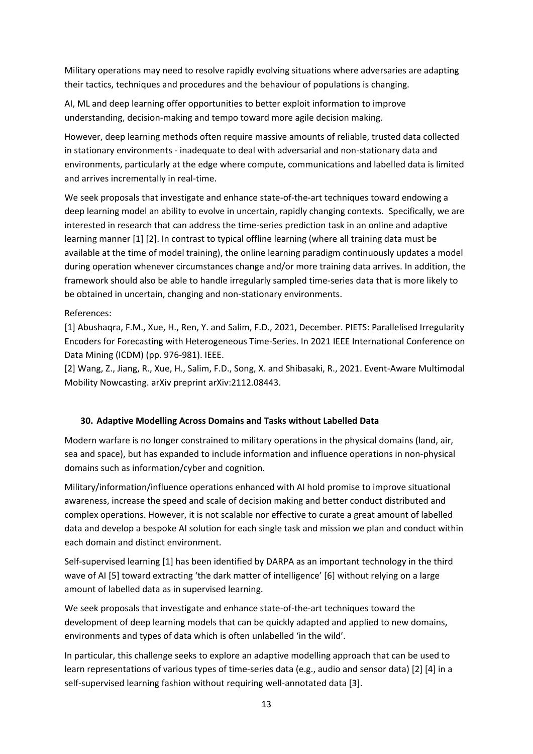Military operations may need to resolve rapidly evolving situations where adversaries are adapting their tactics, techniques and procedures and the behaviour of populations is changing.

AI, ML and deep learning offer opportunities to better exploit information to improve understanding, decision-making and tempo toward more agile decision making.

However, deep learning methods often require massive amounts of reliable, trusted data collected in stationary environments - inadequate to deal with adversarial and non-stationary data and environments, particularly at the edge where compute, communications and labelled data is limited and arrives incrementally in real-time.

We seek proposals that investigate and enhance state-of-the-art techniques toward endowing a deep learning model an ability to evolve in uncertain, rapidly changing contexts. Specifically, we are interested in research that can address the time-series prediction task in an online and adaptive learning manner [1] [2]. In contrast to typical offline learning (where all training data must be available at the time of model training), the online learning paradigm continuously updates a model during operation whenever circumstances change and/or more training data arrives. In addition, the framework should also be able to handle irregularly sampled time-series data that is more likely to be obtained in uncertain, changing and non-stationary environments.

### References:

[1] Abushaqra, F.M., Xue, H., Ren, Y. and Salim, F.D., 2021, December. PIETS: Parallelised Irregularity Encoders for Forecasting with Heterogeneous Time-Series. In 2021 IEEE International Conference on Data Mining (ICDM) (pp. 976-981). IEEE.

[2] Wang, Z., Jiang, R., Xue, H., Salim, F.D., Song, X. and Shibasaki, R., 2021. Event-Aware Multimodal Mobility Nowcasting. arXiv preprint arXiv:2112.08443.

#### **30. Adaptive Modelling Across Domains and Tasks without Labelled Data**

Modern warfare is no longer constrained to military operations in the physical domains (land, air, sea and space), but has expanded to include information and influence operations in non-physical domains such as information/cyber and cognition.

Military/information/influence operations enhanced with AI hold promise to improve situational awareness, increase the speed and scale of decision making and better conduct distributed and complex operations. However, it is not scalable nor effective to curate a great amount of labelled data and develop a bespoke AI solution for each single task and mission we plan and conduct within each domain and distinct environment.

Self-supervised learning [1] has been identified by DARPA as an important technology in the third wave of AI [5] toward extracting 'the dark matter of intelligence' [6] without relying on a large amount of labelled data as in supervised learning.

We seek proposals that investigate and enhance state-of-the-art techniques toward the development of deep learning models that can be quickly adapted and applied to new domains, environments and types of data which is often unlabelled 'in the wild'.

In particular, this challenge seeks to explore an adaptive modelling approach that can be used to learn representations of various types of time-series data (e.g., audio and sensor data) [2] [4] in a self-supervised learning fashion without requiring well-annotated data [3].